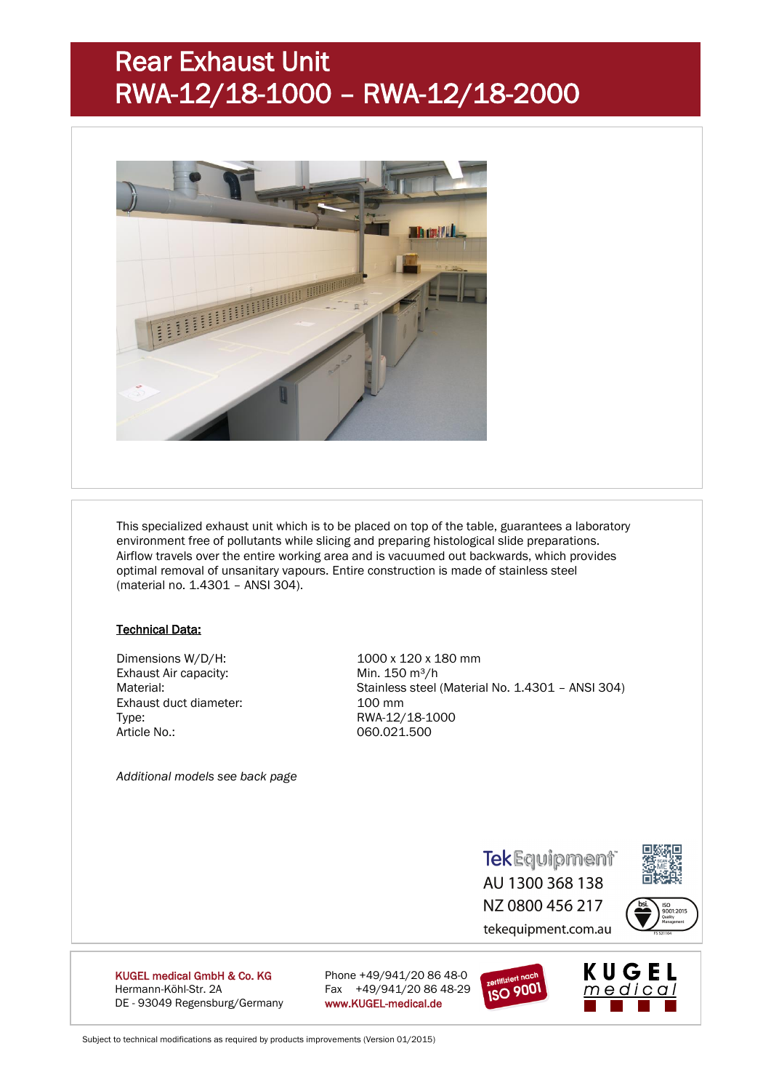## Rear Exhaust Unit RWA-12/18-1000 – RWA-12/18-2000



This specialized exhaust unit which is to be placed on top of the table, guarantees a laboratory environment free of pollutants while slicing and preparing histological slide preparations. Airflow travels over the entire working area and is vacuumed out backwards, which provides optimal removal of unsanitary vapours. Entire construction is made of stainless steel (material no. 1.4301 – ANSI 304).

#### Technical Data:

Dimensions W/D/H: 1000 x 120 x 180 mm Exhaust Air capacity: Min. 150 m<sup>3</sup>/h Exhaust duct diameter: 100 mm Type: RWA-12/18-1000 Article No.: 060.021.500

Material: Stainless steel (Material No. 1.4301 – ANSI 304)

*Additional models see back page*

**TekEquipment** AU 1300 368 138 NZ 0800 456 217



tekequipment.com.au



KUGEL medical GmbH & Co. KG Phone +49/941/20 86 48-0 Hermann-Köhl-Str. 2A Fax +49/941/20 86 48-29 DE - 93049 Regensburg/Germany www.KUGEL-medical.de



Subject to technical modifications as required by products improvements (Version 01/2015)